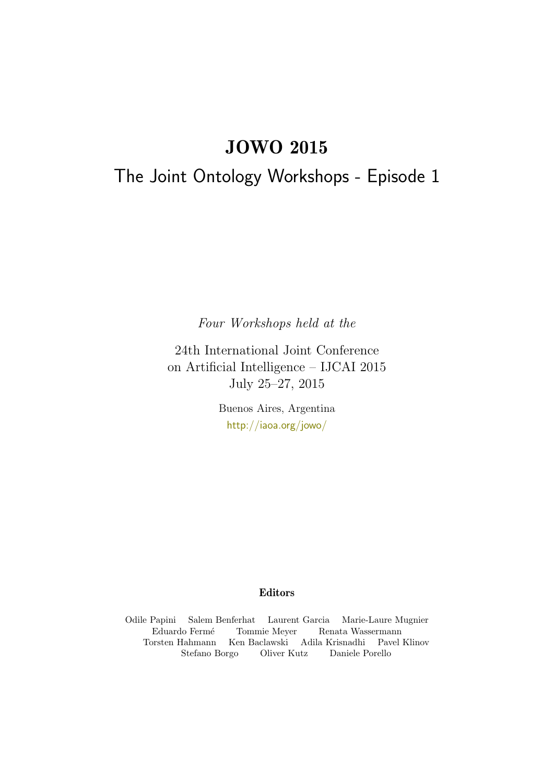# JOWO 2015

# <span id="page-0-0"></span>The Joint Ontology Workshops - Episode 1

Four Workshops held at the

24th International Joint Conference on Artificial Intelligence – IJCAI 2015 July 25–27, 2015

> Buenos Aires, Argentina <http://iaoa.org/jowo/>

# Editors

Odile Papini Salem Benferhat Laurent Garcia Marie-Laure Mugnier Eduardo Fermé Tommie Meyer Renata Wassermann Torsten Hahmann Ken Baclawski Adila Krisnadhi Pavel Klinov Stefano Borgo Oliver Kutz Daniele Porello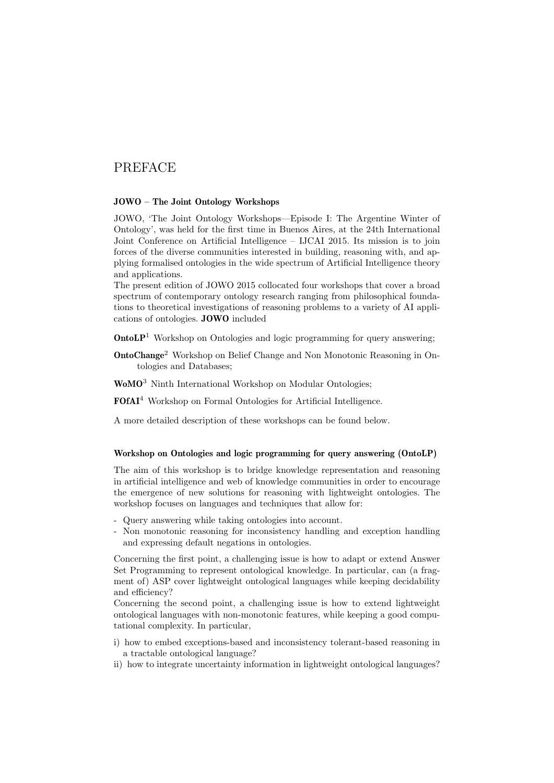# PREFACE

## JOWO – The Joint Ontology Workshops

JOWO, 'The Joint Ontology Workshops—Episode I: The Argentine Winter of Ontology', was held for the first time in Buenos Aires, at the 24th International Joint Conference on Artificial Intelligence – IJCAI 2015. Its mission is to join forces of the diverse communities interested in building, reasoning with, and applying formalised ontologies in the wide spectrum of Artificial Intelligence theory and applications.

The present edition of JOWO 2015 collocated four workshops that cover a broad spectrum of contemporary ontology research ranging from philosophical foundations to theoretical investigations of reasoning problems to a variety of AI applications of ontologies. JOWO included

**OntoLP**<sup>[1](#page-0-0)</sup> Workshop on Ontologies and logic programming for query answering;

- OntoChange[2](#page-0-0) Workshop on Belief Change and Non Monotonic Reasoning in Ontologies and Databases;
- WoMO<sup>[3](#page-0-0)</sup> Ninth International Workshop on Modular Ontologies:

FOfAI[4](#page-0-0) Workshop on Formal Ontologies for Artificial Intelligence.

A more detailed description of these workshops can be found below.

#### Workshop on Ontologies and logic programming for query answering (OntoLP)

The aim of this workshop is to bridge knowledge representation and reasoning in artificial intelligence and web of knowledge communities in order to encourage the emergence of new solutions for reasoning with lightweight ontologies. The workshop focuses on languages and techniques that allow for:

- Query answering while taking ontologies into account.
- Non monotonic reasoning for inconsistency handling and exception handling and expressing default negations in ontologies.

Concerning the first point, a challenging issue is how to adapt or extend Answer Set Programming to represent ontological knowledge. In particular, can (a fragment of) ASP cover lightweight ontological languages while keeping decidability and efficiency?

Concerning the second point, a challenging issue is how to extend lightweight ontological languages with non-monotonic features, while keeping a good computational complexity. In particular,

- i) how to embed exceptions-based and inconsistency tolerant-based reasoning in a tractable ontological language?
- ii) how to integrate uncertainty information in lightweight ontological languages?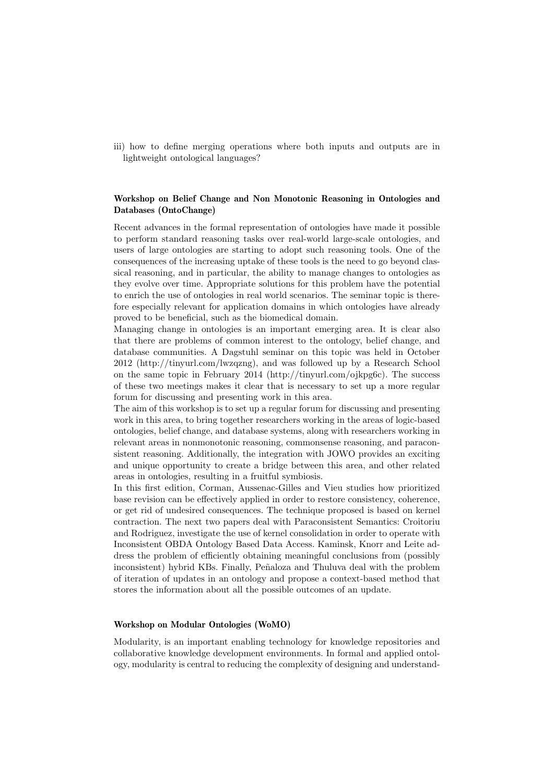iii) how to define merging operations where both inputs and outputs are in lightweight ontological languages?

## Workshop on Belief Change and Non Monotonic Reasoning in Ontologies and Databases (OntoChange)

Recent advances in the formal representation of ontologies have made it possible to perform standard reasoning tasks over real-world large-scale ontologies, and users of large ontologies are starting to adopt such reasoning tools. One of the consequences of the increasing uptake of these tools is the need to go beyond classical reasoning, and in particular, the ability to manage changes to ontologies as they evolve over time. Appropriate solutions for this problem have the potential to enrich the use of ontologies in real world scenarios. The seminar topic is therefore especially relevant for application domains in which ontologies have already proved to be beneficial, such as the biomedical domain.

Managing change in ontologies is an important emerging area. It is clear also that there are problems of common interest to the ontology, belief change, and database communities. A Dagstuhl seminar on this topic was held in October 2012 (http://tinyurl.com/lwzqzng), and was followed up by a Research School on the same topic in February 2014 (http://tinyurl.com/ojkpg6c). The success of these two meetings makes it clear that is necessary to set up a more regular forum for discussing and presenting work in this area.

The aim of this workshop is to set up a regular forum for discussing and presenting work in this area, to bring together researchers working in the areas of logic-based ontologies, belief change, and database systems, along with researchers working in relevant areas in nonmonotonic reasoning, commonsense reasoning, and paraconsistent reasoning. Additionally, the integration with JOWO provides an exciting and unique opportunity to create a bridge between this area, and other related areas in ontologies, resulting in a fruitful symbiosis.

In this first edition, Corman, Aussenac-Gilles and Vieu studies how prioritized base revision can be effectively applied in order to restore consistency, coherence, or get rid of undesired consequences. The technique proposed is based on kernel contraction. The next two papers deal with Paraconsistent Semantics: Croitoriu and Rodriguez, investigate the use of kernel consolidation in order to operate with Inconsistent OBDA Ontology Based Data Access. Kaminsk, Knorr and Leite address the problem of efficiently obtaining meaningful conclusions from (possibly inconsistent) hybrid KBs. Finally, Peñaloza and Thuluva deal with the problem of iteration of updates in an ontology and propose a context-based method that stores the information about all the possible outcomes of an update.

## Workshop on Modular Ontologies (WoMO)

Modularity, is an important enabling technology for knowledge repositories and collaborative knowledge development environments. In formal and applied ontology, modularity is central to reducing the complexity of designing and understand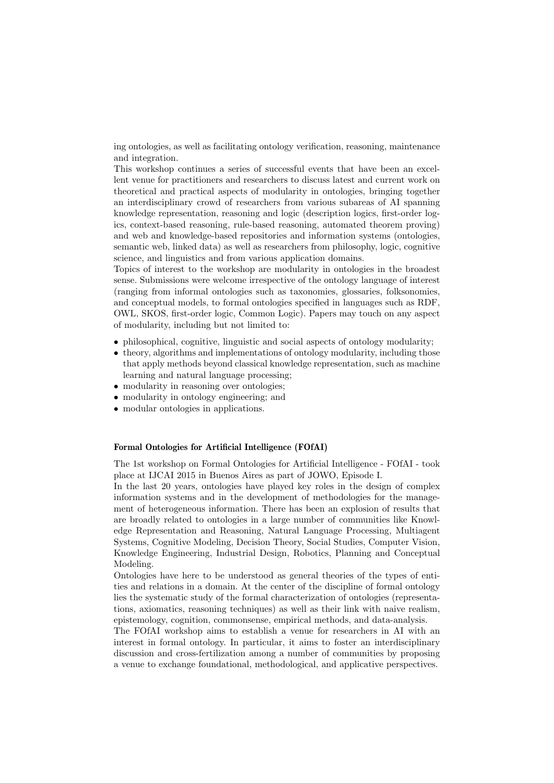ing ontologies, as well as facilitating ontology verification, reasoning, maintenance and integration.

This workshop continues a series of successful events that have been an excellent venue for practitioners and researchers to discuss latest and current work on theoretical and practical aspects of modularity in ontologies, bringing together an interdisciplinary crowd of researchers from various subareas of AI spanning knowledge representation, reasoning and logic (description logics, first-order logics, context-based reasoning, rule-based reasoning, automated theorem proving) and web and knowledge-based repositories and information systems (ontologies, semantic web, linked data) as well as researchers from philosophy, logic, cognitive science, and linguistics and from various application domains.

Topics of interest to the workshop are modularity in ontologies in the broadest sense. Submissions were welcome irrespective of the ontology language of interest (ranging from informal ontologies such as taxonomies, glossaries, folksonomies, and conceptual models, to formal ontologies specified in languages such as RDF, OWL, SKOS, first-order logic, Common Logic). Papers may touch on any aspect of modularity, including but not limited to:

- philosophical, cognitive, linguistic and social aspects of ontology modularity;
- theory, algorithms and implementations of ontology modularity, including those that apply methods beyond classical knowledge representation, such as machine learning and natural language processing;
- modularity in reasoning over ontologies;
- modularity in ontology engineering; and
- modular ontologies in applications.

#### Formal Ontologies for Artificial Intelligence (FOfAI)

The 1st workshop on Formal Ontologies for Artificial Intelligence - FOfAI - took place at IJCAI 2015 in Buenos Aires as part of JOWO, Episode I.

In the last 20 years, ontologies have played key roles in the design of complex information systems and in the development of methodologies for the management of heterogeneous information. There has been an explosion of results that are broadly related to ontologies in a large number of communities like Knowledge Representation and Reasoning, Natural Language Processing, Multiagent Systems, Cognitive Modeling, Decision Theory, Social Studies, Computer Vision, Knowledge Engineering, Industrial Design, Robotics, Planning and Conceptual Modeling.

Ontologies have here to be understood as general theories of the types of entities and relations in a domain. At the center of the discipline of formal ontology lies the systematic study of the formal characterization of ontologies (representations, axiomatics, reasoning techniques) as well as their link with naive realism, epistemology, cognition, commonsense, empirical methods, and data-analysis.

The FOfAI workshop aims to establish a venue for researchers in AI with an interest in formal ontology. In particular, it aims to foster an interdisciplinary discussion and cross-fertilization among a number of communities by proposing a venue to exchange foundational, methodological, and applicative perspectives.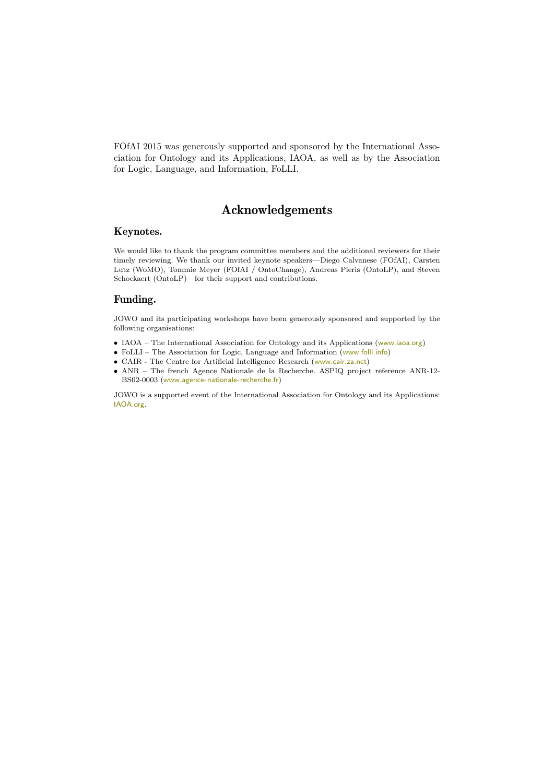FOfAI 2015 was generously supported and sponsored by the International Association for Ontology and its Applications, IAOA, as well as by the Association for Logic, Language, and Information, FoLLI.

# Acknowledgements

# Keynotes.

We would like to thank the program committee members and the additional reviewers for their timely reviewing. We thank our invited keynote speakers—Diego Calvanese (FOfAI), Carsten Lutz (WoMO), Tommie Meyer (FOfAI / OntoChange), Andreas Pieris (OntoLP), and Steven Schockaert (OntoLP)—for their support and contributions.

# Funding.

JOWO and its participating workshops have been generously sponsored and supported by the following organisations:

- IAOA The International Association for Ontology and its Applications (<www.iaoa.org>)
- FoLLI The Association for Logic, Language and Information (<www.folli.info>)
- CAIR The Centre for Artificial Intelligence Research (<www.cair.za.net>)
- ANR The french Agence Nationale de la Recherche. ASPIQ project reference ANR-12- BS02-0003 (<www.agence-nationale-recherche.fr>)

JOWO is a supported event of the International Association for Ontology and its Applications: <IAOA.org>.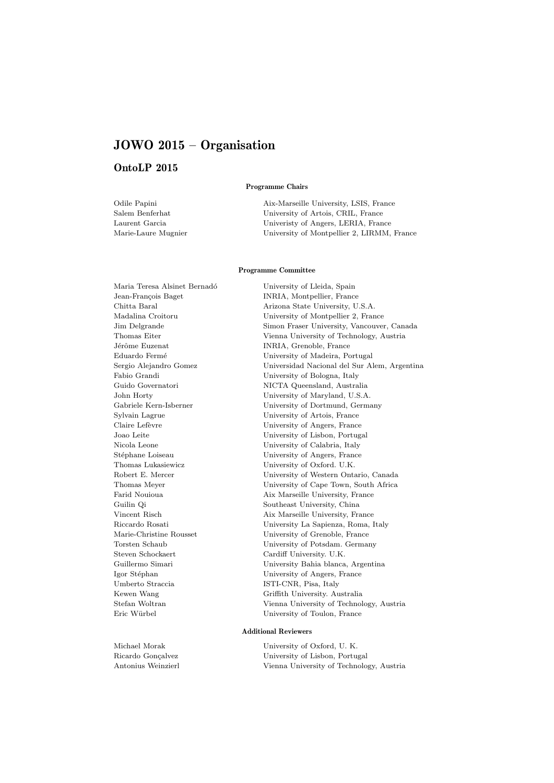# JOWO 2015 – Organisation

# OntoLP 2015

#### Programme Chairs

Odile Papini Aix-Marseille University, LSIS, France Salem Benferhat University of Artois, CRIL, France Laurent Garcia Univeristy of Angers, LERIA, France Marie-Laure Mugnier University of Montpellier 2, LIRMM, France

#### Programme Committee

Jérôme Euzenat INRIA, Grenoble, France Thomas Lukasiewicz University of Oxford. U.K. Steven Schockaert Cardiff University. U.K. Umberto Straccia ISTI-CNR, Pisa, Italy Eric Würbel University of Toulon, France

Maria Teresa Alsinet Bernadó University of Lleida, Spain Jean-Fran¸cois Baget INRIA, Montpellier, France Chitta Baral Arizona State University, U.S.A. Madalina Croitoru University of Montpellier 2, France Jim Delgrande Simon Fraser University, Vancouver, Canada Thomas Eiter Vienna University of Technology, Austria Eduardo Ferm´e University of Madeira, Portugal Sergio Alejandro Gomez Universidad Nacional del Sur Alem, Argentina Fabio Grandi University of Bologna, Italy Guido Governatori NICTA Queensland, Australia John Horty University of Maryland, U.S.A. Gabriele Kern-Isberner University of Dortmund, Germany Sylvain Lagrue University of Artois, France Claire Lefèvre University of Angers, France Joao Leite University of Lisbon, Portugal Nicola Leone University of Calabria, Italy University of Angers, France Robert E. Mercer University of Western Ontario, Canada Thomas Meyer University of Cape Town, South Africa Farid Nouioua Aix Marseille University, France Guilin Qi Southeast University, China Vincent Risch Aix Marseille University, France Riccardo Rosati University La Sapienza, Roma, Italy Marie-Christine Rousset University of Grenoble, France Torsten Schaub University of Potsdam. Germany Guillermo Simari University Bahia blanca, Argentina Igor Stéphan University of Angers, France Kewen Wang Griffith University. Australia Stefan Woltran Vienna University of Technology, Austria

#### Additional Reviewers

Michael Morak University of Oxford, U. K. Ricardo Gonçalvez University of Lisbon, Portugal Antonius Weinzierl Vienna University of Technology, Austria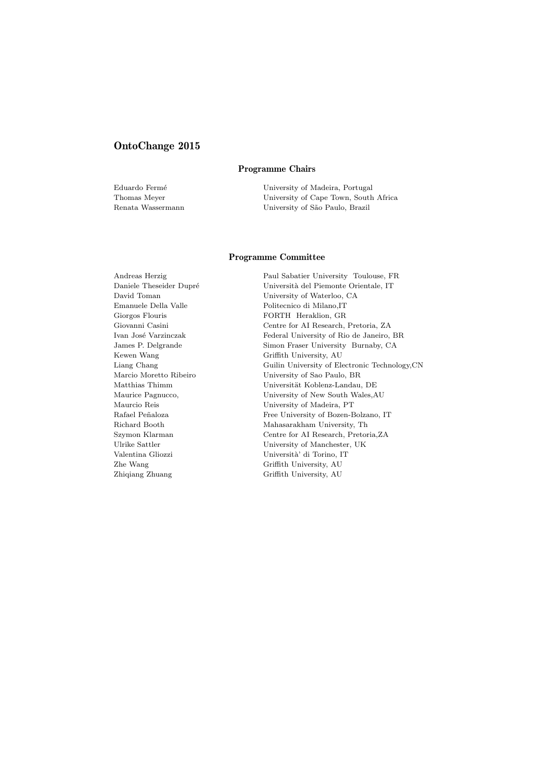# OntoChange 2015

### Programme Chairs

Eduardo Fermé University of Madeira, Portugal Thomas Meyer University of Cape Town, South Africa Renata Wassermann University of São Paulo, Brazil

#### Programme Committee

Emanuele Della Valle Politecnico di Milano,IT Giorgos Flouris FORTH Heraklion, GR Kewen Wang Griffith University, AU Zhe Wang Griffith University, AU Zhiqiang Zhuang Griffith University, AU

Andreas Herzig Paul Sabatier University Toulouse, FR Università del Piemonte Orientale, IT David Toman University of Waterloo, CA Giovanni Casini Centre for AI Research, Pretoria, ZA Ivan Jos´e Varzinczak Federal University of Rio de Janeiro, BR James P. Delgrande Simon Fraser University Burnaby, CA Liang Chang Guilin University of Electronic Technology,CN Marcio Moretto Ribeiro University of Sao Paulo, BR Matthias Thimm Universität Koblenz-Landau, DE Maurice Pagnucco, University of New South Wales,AU Maurcio Reis University of Madeira, PT Rafael Peñaloza Free University of Bozen-Bolzano, IT Richard Booth Mahasarakham University, Th Szymon Klarman Centre for AI Research, Pretoria,ZA University of Manchester, UK Valentina Gliozzi Università' di Torino, IT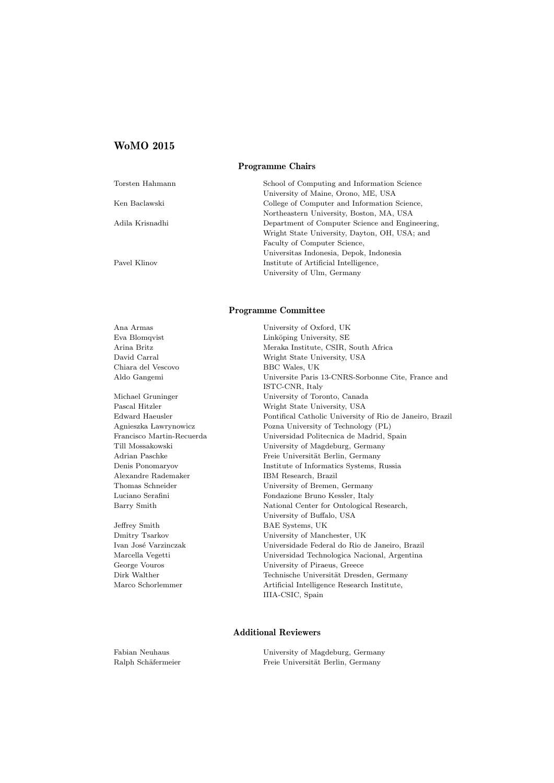## WoMO 2015

#### Programme Chairs

| Torsten Hahmann | School of Computing and Information Science     |
|-----------------|-------------------------------------------------|
|                 | University of Maine, Orono, ME, USA             |
| Ken Baclawski   | College of Computer and Information Science,    |
|                 | Northeastern University, Boston, MA, USA        |
| Adila Krisnadhi | Department of Computer Science and Engineering. |
|                 | Wright State University, Dayton, OH, USA; and   |
|                 | Faculty of Computer Science,                    |
|                 | Universitas Indonesia, Depok, Indonesia         |
| Pavel Klinov    | Institute of Artificial Intelligence,           |
|                 | University of Ulm, Germany                      |

#### Programme Committee

University of Oxford, UK

| Ana Armas                 |
|---------------------------|
| Eva Blomqvist             |
| Arina Britz               |
| David Carral              |
| Chiara del Vescovo        |
| Aldo Gangemi              |
|                           |
| Michael Gruninger         |
| Pascal Hitzler            |
| Edward Haeusler           |
| Agnieszka Lawrynowicz     |
| Francisco Martin-Recuerda |
| Till Mossakowski          |
| Adrian Paschke            |

Linköping University, SE Meraka Institute, CSIR, South Africa Wright State University, USA BBC Wales, UK Universite Paris 13-CNRS-Sorbonne Cite, France and ISTC-CNR, Italy University of Toronto, Canada Wright State University, USA Pontifical Catholic University of Rio de Janeiro, Brazil Pozna University of Technology (PL) Universidad Politecnica de Madrid, Spain University of Magdeburg, Germany Freie Universität Berlin, Germany Denis Ponomaryov Institute of Informatics Systems, Russia Alexandre Rademaker IBM Research, Brazil Thomas Schneider University of Bremen, Germany Luciano Serafini Fondazione Bruno Kessler, Italy Barry Smith National Center for Ontological Research, University of Buffalo, USA Jeffrey Smith BAE Systems, UK Dmitry Tsarkov University of Manchester, UK Ivan Jos´e Varzinczak Universidade Federal do Rio de Janeiro, Brazil Marcella Vegetti Universidad Technologica Nacional, Argentina George Vouros University of Piraeus, Greece Dirk Walther Technische Universität Dresden, Germany Marco Schorlemmer Artificial Intelligence Research Institute. Artificial Intelligence Research Institute, IIIA-CSIC, Spain

#### Additional Reviewers

Fabian Neuhaus University of Magdeburg, Germany Ralph Schäfermeier Freie Universität Berlin, Germany